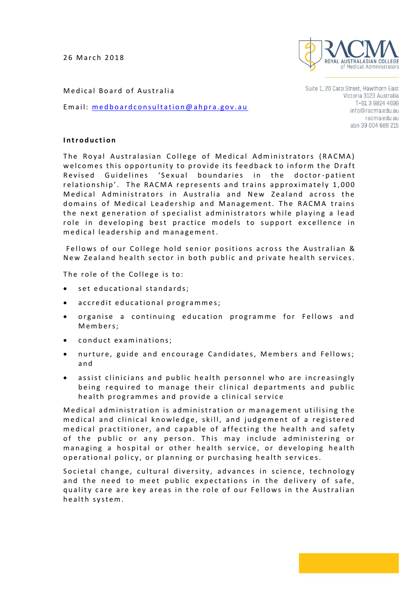26 March 2018



Medical Board of Australia

Email: medboard consultation @ ahpra.gov.au

Suite 1, 20 Cato Street, Hawthorn East Victoria 3123 Australia T+61 3 9824 4699 info@racma.edu.au racma.edu.au abn 39 004 688 215

## **I n t r o d u c t i o n**

The Royal Australasian College of Medical Administrators (RACMA) welcomes this opportunity to provide its feedback to inform the Draft Revised Guidelines 'Sexual boundaries in the doctor-patient relationship'. The RACMA represents and trains approximately 1,000 Medical Administrators in Australia and New Zealand across the domains of Medical Leadership and Management. The RACMA trains the next generation of specialist administrators while playing a lead role in developing best practice models to support excellence in medical leadership and management.

Fellows of our College hold senior positions across the Australian & New Zealand health sector in both public and private health services.

The role of the College is to:

- set educational standards;
- accredit educational programmes;
- organise a continuing education programme for Fellows and M e m b e r s ;
- conduct examinations;
- nurture, guide and encourage Candidates, Members and Fellows; a n d
- assist clinicians and public health personnel who are increasingly being required to manage their clinical departments and public health programmes and provide a clinical service

Medical administration is administration or management utilising the medical and clinical knowledge, skill, and judgement of a registered medical practitioner, and capable of affecting the health and safety of the public or any person. This may include administering or managing a hospital or other health service, or developing health operational policy, or planning or purchasing health services.

Societal change, cultural diversity, advances in science, technology and the need to meet public expectations in the delivery of safe, quality care are key areas in the role of our Fellows in the Australian health system.